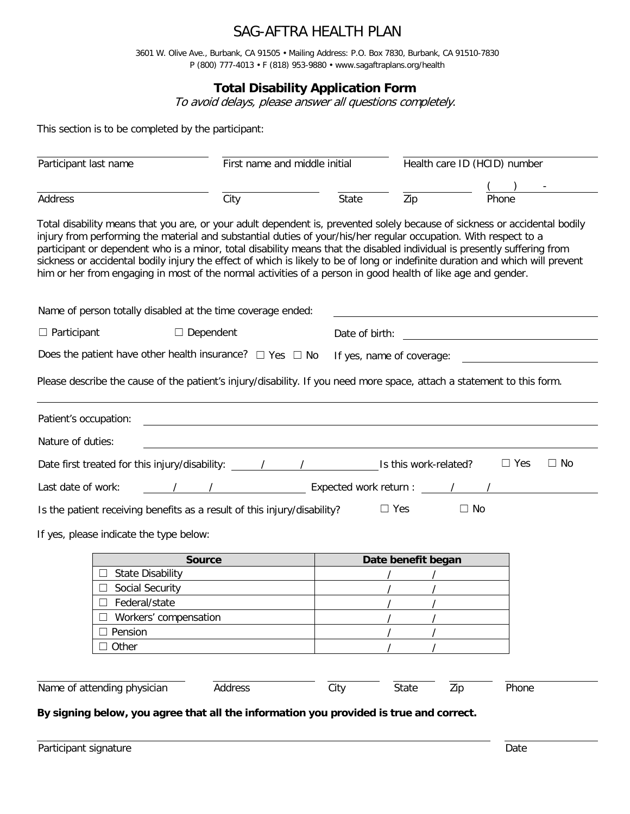# SAG-AFTRA HEALTH PLAN

3601 W. Olive Ave., Burbank, CA 91505 • Mailing Address: P.O. Box 7830, Burbank, CA 91510-7830 P (800) 777-4013 • F (818) 953-9880 • www.sagaftraplans.org/health

## **Total Disability Application Form**

To avoid delays, please answer all questions completely.

This section is to be completed by the participant:

| Participant last name                                                                                                                                                                                                                                                                                                                                                                                                                                                                                                                                                                                                        |                                                                                                 | First name and middle initial                                 |                    | Health care ID (HCID) number |                         |  |
|------------------------------------------------------------------------------------------------------------------------------------------------------------------------------------------------------------------------------------------------------------------------------------------------------------------------------------------------------------------------------------------------------------------------------------------------------------------------------------------------------------------------------------------------------------------------------------------------------------------------------|-------------------------------------------------------------------------------------------------|---------------------------------------------------------------|--------------------|------------------------------|-------------------------|--|
|                                                                                                                                                                                                                                                                                                                                                                                                                                                                                                                                                                                                                              |                                                                                                 |                                                               |                    |                              |                         |  |
| Address                                                                                                                                                                                                                                                                                                                                                                                                                                                                                                                                                                                                                      | City                                                                                            | State                                                         | Zip                | Phone                        |                         |  |
| Total disability means that you are, or your adult dependent is, prevented solely because of sickness or accidental bodily<br>injury from performing the material and substantial duties of your/his/her regular occupation. With respect to a<br>participant or dependent who is a minor, total disability means that the disabled individual is presently suffering from<br>sickness or accidental bodily injury the effect of which is likely to be of long or indefinite duration and which will prevent<br>him or her from engaging in most of the normal activities of a person in good health of like age and gender. |                                                                                                 |                                                               |                    |                              |                         |  |
| Name of person totally disabled at the time coverage ended:                                                                                                                                                                                                                                                                                                                                                                                                                                                                                                                                                                  |                                                                                                 |                                                               |                    |                              |                         |  |
| $\Box$ Participant<br>$\Box$ Dependent                                                                                                                                                                                                                                                                                                                                                                                                                                                                                                                                                                                       |                                                                                                 | Date of birth:<br><u> 1980 - Jan Samuel Barbara, martin d</u> |                    |                              |                         |  |
|                                                                                                                                                                                                                                                                                                                                                                                                                                                                                                                                                                                                                              | Does the patient have other health insurance? $\Box$ Yes $\Box$ No<br>If yes, name of coverage: |                                                               |                    |                              |                         |  |
| Please describe the cause of the patient's injury/disability. If you need more space, attach a statement to this form.                                                                                                                                                                                                                                                                                                                                                                                                                                                                                                       |                                                                                                 |                                                               |                    |                              |                         |  |
| Patient's occupation:                                                                                                                                                                                                                                                                                                                                                                                                                                                                                                                                                                                                        |                                                                                                 |                                                               |                    |                              |                         |  |
| Nature of duties:                                                                                                                                                                                                                                                                                                                                                                                                                                                                                                                                                                                                            |                                                                                                 |                                                               |                    |                              |                         |  |
|                                                                                                                                                                                                                                                                                                                                                                                                                                                                                                                                                                                                                              |                                                                                                 |                                                               |                    |                              | $\Box$ Yes<br>$\Box$ No |  |
| Last date of work:                                                                                                                                                                                                                                                                                                                                                                                                                                                                                                                                                                                                           |                                                                                                 |                                                               |                    |                              |                         |  |
| Is the patient receiving benefits as a result of this injury/disability?                                                                                                                                                                                                                                                                                                                                                                                                                                                                                                                                                     |                                                                                                 |                                                               | $\Box$ Yes         | $\Box$ No                    |                         |  |
| If yes, please indicate the type below:                                                                                                                                                                                                                                                                                                                                                                                                                                                                                                                                                                                      |                                                                                                 |                                                               |                    |                              |                         |  |
|                                                                                                                                                                                                                                                                                                                                                                                                                                                                                                                                                                                                                              | <b>Source</b>                                                                                   |                                                               | Date benefit began |                              |                         |  |
| <b>State Disability</b>                                                                                                                                                                                                                                                                                                                                                                                                                                                                                                                                                                                                      |                                                                                                 |                                                               |                    |                              |                         |  |
| Social Security                                                                                                                                                                                                                                                                                                                                                                                                                                                                                                                                                                                                              |                                                                                                 |                                                               |                    |                              |                         |  |
| Federal/state                                                                                                                                                                                                                                                                                                                                                                                                                                                                                                                                                                                                                |                                                                                                 |                                                               |                    |                              |                         |  |
| Workers' compensation                                                                                                                                                                                                                                                                                                                                                                                                                                                                                                                                                                                                        |                                                                                                 |                                                               |                    |                              |                         |  |
| Pension                                                                                                                                                                                                                                                                                                                                                                                                                                                                                                                                                                                                                      |                                                                                                 |                                                               |                    |                              |                         |  |
| $\Box$ Other                                                                                                                                                                                                                                                                                                                                                                                                                                                                                                                                                                                                                 |                                                                                                 |                                                               |                    |                              |                         |  |
|                                                                                                                                                                                                                                                                                                                                                                                                                                                                                                                                                                                                                              |                                                                                                 |                                                               |                    |                              |                         |  |
| Name of attending physician                                                                                                                                                                                                                                                                                                                                                                                                                                                                                                                                                                                                  | Address                                                                                         | City                                                          | State              | Zip                          | Phone                   |  |
| By signing below, you agree that all the information you provided is true and correct.                                                                                                                                                                                                                                                                                                                                                                                                                                                                                                                                       |                                                                                                 |                                                               |                    |                              |                         |  |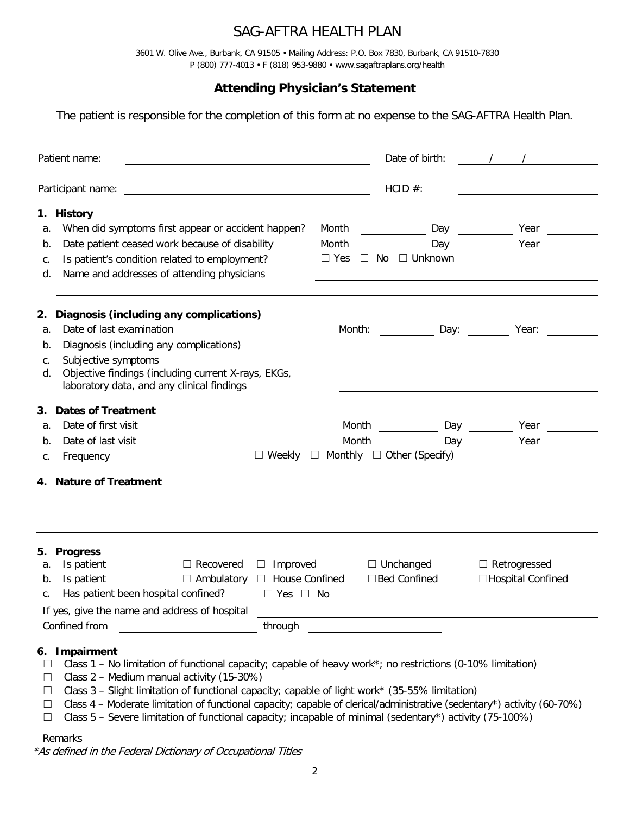# SAG-AFTRA HEALTH PLAN

3601 W. Olive Ave., Burbank, CA 91505 • Mailing Address: P.O. Box 7830, Burbank, CA 91510-7830 P (800) 777-4013 • F (818) 953-9880 • www.sagaftraplans.org/health

## **Attending Physician's Statement**

The patient is responsible for the completion of this form at no expense to the SAG-AFTRA Health Plan.

| Patient name:                                                                                                                                                                                                                                                                                                                                                                                                                                                                                                                                                             |                                                                                   | Date of birth:                          |                                                       |  |
|---------------------------------------------------------------------------------------------------------------------------------------------------------------------------------------------------------------------------------------------------------------------------------------------------------------------------------------------------------------------------------------------------------------------------------------------------------------------------------------------------------------------------------------------------------------------------|-----------------------------------------------------------------------------------|-----------------------------------------|-------------------------------------------------------|--|
| Participant name:<br><u> 1989 - Johann John Stone, markin f</u>                                                                                                                                                                                                                                                                                                                                                                                                                                                                                                           |                                                                                   | HCID #:                                 |                                                       |  |
| 1. History<br>When did symptoms first appear or accident happen?<br>а.<br>Date patient ceased work because of disability<br>b.<br>Is patient's condition related to employment?<br>С.<br>Name and addresses of attending physicians<br>d.                                                                                                                                                                                                                                                                                                                                 | Month<br><b>Example 12</b> Day<br>Month<br>$\Box$ Yes<br>$\Box$ No $\Box$ Unknown |                                         | Day<br>Year $\qquad \qquad \qquad$<br>Year            |  |
| 2. Diagnosis (including any complications)<br>Date of last examination<br>a.<br>Diagnosis (including any complications)<br>b.<br>Subjective symptoms<br>С.<br>Objective findings (including current X-rays, EKGs,<br>d.                                                                                                                                                                                                                                                                                                                                                   |                                                                                   |                                         | Month: _____________ Day: __________ Year: __________ |  |
| laboratory data, and any clinical findings<br>3. Dates of Treatment<br>Date of first visit<br>a.<br>Date of last visit<br>b.                                                                                                                                                                                                                                                                                                                                                                                                                                              | Month<br>Month                                                                    |                                         | Year $\qquad \qquad \qquad$                           |  |
| Frequency<br>С.<br>4. Nature of Treatment                                                                                                                                                                                                                                                                                                                                                                                                                                                                                                                                 | $\Box$ Weekly $\Box$ Monthly $\Box$ Other (Specify)                               |                                         |                                                       |  |
| 5. Progress                                                                                                                                                                                                                                                                                                                                                                                                                                                                                                                                                               |                                                                                   |                                         |                                                       |  |
| Is patient<br>$\Box$ Recovered<br>$\Box$ Improved<br>a.<br>Is patient<br>$\Box$ Ambulatory $\Box$ House Confined<br>b.<br>Has patient been hospital confined?<br>$\Box$ Yes $\Box$ No<br>С.<br>If yes, give the name and address of hospital                                                                                                                                                                                                                                                                                                                              | <u> 1989 - Johann Barbara, martxa alemaniar amerikan a</u>                        | $\Box$ Unchanged<br>$\Box$ Bed Confined | $\Box$ Retrogressed<br>$\Box$ Hospital Confined       |  |
| Confined from<br>through<br>Impairment<br>6.<br>Class 1 - No limitation of functional capacity; capable of heavy work*; no restrictions (0-10% limitation)<br>⊔<br>Class 2 - Medium manual activity (15-30%)<br>ப<br>Class 3 - Slight limitation of functional capacity; capable of light work* (35-55% limitation)<br>ப<br>Class 4 - Moderate limitation of functional capacity; capable of clerical/administrative (sedentary*) activity (60-70%)<br>Ц<br>Class 5 - Severe limitation of functional capacity; incapable of minimal (sedentary*) activity (75-100%)<br>ப |                                                                                   |                                         |                                                       |  |

#### Remarks

\*As defined in the Federal Dictionary of Occupational Titles